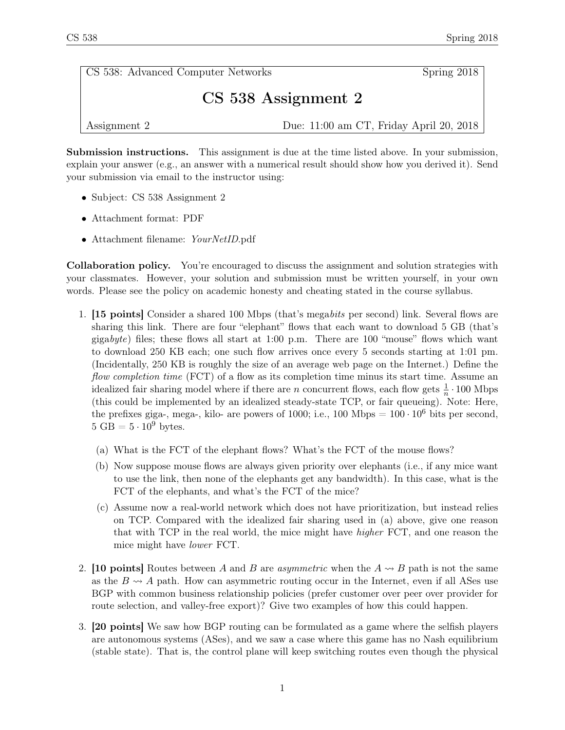CS 538: Advanced Computer Networks Spring 2018

## CS 538 Assignment 2

Assignment 2 Due: 11:00 am CT, Friday April 20, 2018

Submission instructions. This assignment is due at the time listed above. In your submission, explain your answer (e.g., an answer with a numerical result should show how you derived it). Send your submission via email to the instructor using:

- Subject: CS 538 Assignment 2
- Attachment format: PDF
- Attachment filename: YourNetID.pdf

Collaboration policy. You're encouraged to discuss the assignment and solution strategies with your classmates. However, your solution and submission must be written yourself, in your own words. Please see the policy on academic honesty and cheating stated in the course syllabus.

- 1. [15 points] Consider a shared 100 Mbps (that's megabits per second) link. Several flows are sharing this link. There are four "elephant" flows that each want to download 5 GB (that's gigabyte) files; these flows all start at 1:00 p.m. There are 100 "mouse" flows which want to download 250 KB each; one such flow arrives once every 5 seconds starting at 1:01 pm. (Incidentally, 250 KB is roughly the size of an average web page on the Internet.) Define the flow completion time (FCT) of a flow as its completion time minus its start time. Assume an idealized fair sharing model where if there are *n* concurrent flows, each flow gets  $\frac{1}{n} \cdot 100$  Mbps (this could be implemented by an idealized steady-state TCP, or fair queueing). Note: Here, the prefixes giga-, mega-, kilo- are powers of 1000; i.e., 100 Mbps =  $100 \cdot 10^6$  bits per second.  $5 \text{ GB} = 5 \cdot 10^9 \text{ bytes.}$ 
	- (a) What is the FCT of the elephant flows? What's the FCT of the mouse flows?
	- (b) Now suppose mouse flows are always given priority over elephants (i.e., if any mice want to use the link, then none of the elephants get any bandwidth). In this case, what is the FCT of the elephants, and what's the FCT of the mice?
	- (c) Assume now a real-world network which does not have prioritization, but instead relies on TCP. Compared with the idealized fair sharing used in (a) above, give one reason that with TCP in the real world, the mice might have higher FCT, and one reason the mice might have lower FCT.
- 2. [10 points] Routes between A and B are asymmetric when the  $A \rightsquigarrow B$  path is not the same as the  $B \rightarrow A$  path. How can asymmetric routing occur in the Internet, even if all ASes use BGP with common business relationship policies (prefer customer over peer over provider for route selection, and valley-free export)? Give two examples of how this could happen.
- 3. [20 points] We saw how BGP routing can be formulated as a game where the selfish players are autonomous systems (ASes), and we saw a case where this game has no Nash equilibrium (stable state). That is, the control plane will keep switching routes even though the physical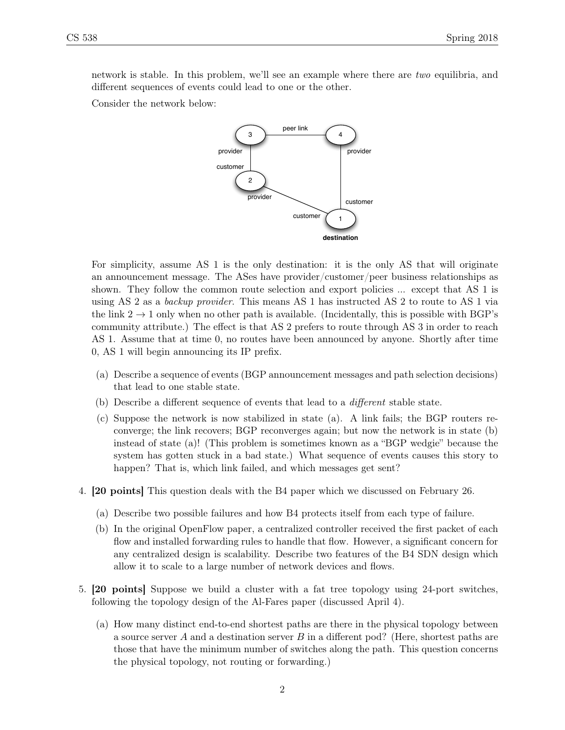network is stable. In this problem, we'll see an example where there are two equilibria, and different sequences of events could lead to one or the other.

Consider the network below:



For simplicity, assume AS 1 is the only destination: it is the only AS that will originate an announcement message. The ASes have provider/customer/peer business relationships as shown. They follow the common route selection and export policies ... except that AS 1 is using AS 2 as a backup provider. This means AS 1 has instructed AS 2 to route to AS 1 via the link  $2 \rightarrow 1$  only when no other path is available. (Incidentally, this is possible with BGP's community attribute.) The effect is that AS 2 prefers to route through AS 3 in order to reach AS 1. Assume that at time 0, no routes have been announced by anyone. Shortly after time 0, AS 1 will begin announcing its IP prefix.

- (a) Describe a sequence of events (BGP announcement messages and path selection decisions) that lead to one stable state.
- (b) Describe a different sequence of events that lead to a different stable state.
- (c) Suppose the network is now stabilized in state (a). A link fails; the BGP routers reconverge; the link recovers; BGP reconverges again; but now the network is in state (b) instead of state (a)! (This problem is sometimes known as a "BGP wedgie" because the system has gotten stuck in a bad state.) What sequence of events causes this story to happen? That is, which link failed, and which messages get sent?
- 4. [20 points] This question deals with the B4 paper which we discussed on February 26.
	- (a) Describe two possible failures and how B4 protects itself from each type of failure.
	- (b) In the original OpenFlow paper, a centralized controller received the first packet of each flow and installed forwarding rules to handle that flow. However, a significant concern for any centralized design is scalability. Describe two features of the B4 SDN design which allow it to scale to a large number of network devices and flows.
- 5. [20 points] Suppose we build a cluster with a fat tree topology using 24-port switches, following the topology design of the Al-Fares paper (discussed April 4).
	- (a) How many distinct end-to-end shortest paths are there in the physical topology between a source server A and a destination server B in a different pod? (Here, shortest paths are those that have the minimum number of switches along the path. This question concerns the physical topology, not routing or forwarding.)